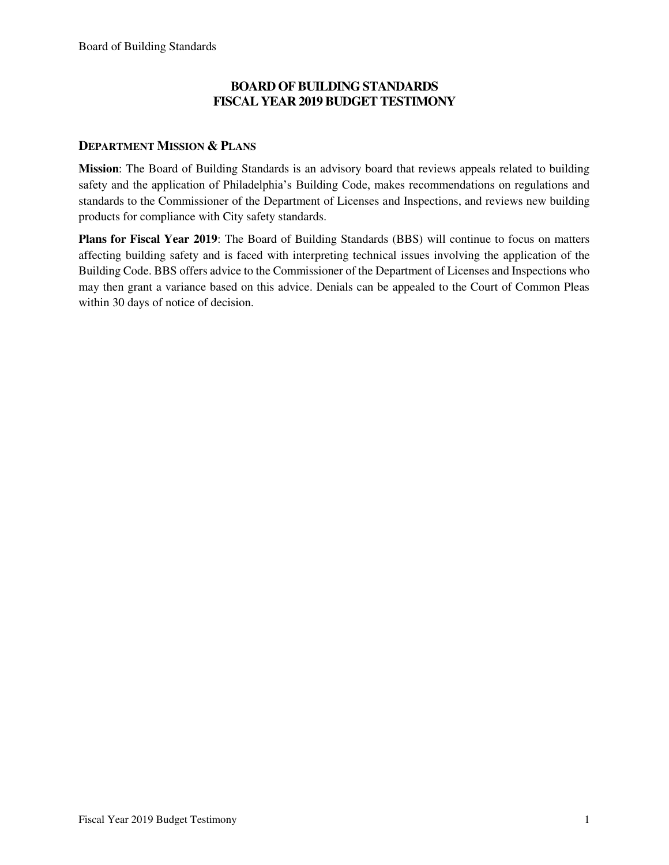### **BOARD OF BUILDING STANDARDS FISCAL YEAR 2019 BUDGET TESTIMONY**

### **DEPARTMENT MISSION & PLANS**

**Mission**: The Board of Building Standards is an advisory board that reviews appeals related to building safety and the application of Philadelphia's Building Code, makes recommendations on regulations and standards to the Commissioner of the Department of Licenses and Inspections, and reviews new building products for compliance with City safety standards.

**Plans for Fiscal Year 2019**: The Board of Building Standards (BBS) will continue to focus on matters affecting building safety and is faced with interpreting technical issues involving the application of the Building Code. BBS offers advice to the Commissioner of the Department of Licenses and Inspections who may then grant a variance based on this advice. Denials can be appealed to the Court of Common Pleas within 30 days of notice of decision.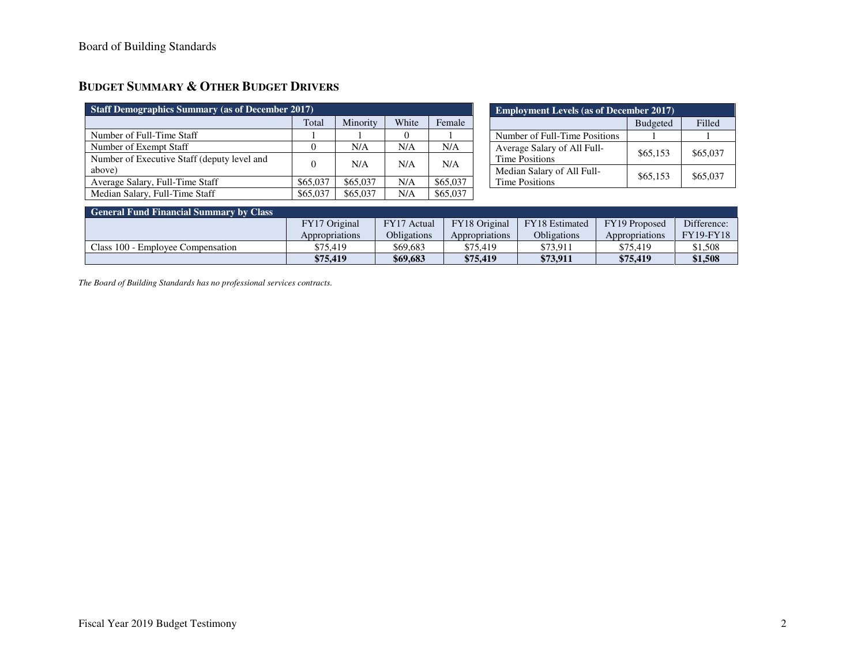## **BUDGET SUMMARY & OTHER BUDGET DRIVERS**

| <b>Staff Demographics Summary (as of December 2017)</b> |          |          |       |          |  |  |
|---------------------------------------------------------|----------|----------|-------|----------|--|--|
|                                                         | Total    | Minority | White | Female   |  |  |
| Number of Full-Time Staff                               |          |          |       |          |  |  |
| Number of Exempt Staff                                  |          | N/A      | N/A   | N/A      |  |  |
| Number of Executive Staff (deputy level and<br>above)   | 0        | N/A      | N/A   | N/A      |  |  |
| Average Salary, Full-Time Staff                         | \$65,037 | \$65,037 | N/A   | \$65,037 |  |  |
| Median Salary, Full-Time Staff                          | \$65,037 | \$65,037 | N/A   | \$65,037 |  |  |

| <b>Employment Levels (as of December 2017)</b>       |                 |          |  |  |  |
|------------------------------------------------------|-----------------|----------|--|--|--|
|                                                      | <b>Budgeted</b> | Filled   |  |  |  |
| Number of Full-Time Positions                        |                 |          |  |  |  |
| Average Salary of All Full-<br><b>Time Positions</b> | \$65,153        | \$65,037 |  |  |  |
| Median Salary of All Full-<br><b>Time Positions</b>  | \$65,153        | \$65,037 |  |  |  |

### **General Fund Financial Summary by Class**

|                                   | FY17 Original  | FY17 Actual | FY18 Original  | <b>FY18</b> Estimated | FY19 Proposed  | Difference:      |
|-----------------------------------|----------------|-------------|----------------|-----------------------|----------------|------------------|
|                                   | Appropriations | Obligations | Appropriations | Obligations           | Appropriations | <b>FY19-FY18</b> |
| Class 100 - Employee Compensation | \$75.419       | \$69.683    | \$75.419       | \$73.911              | \$75.419       | \$1,508          |
|                                   | \$75.419       | \$69,683    | \$75,419       | \$73,911              | \$75,419       | \$1,508          |

*The Board of Building Standards has no professional services contracts.*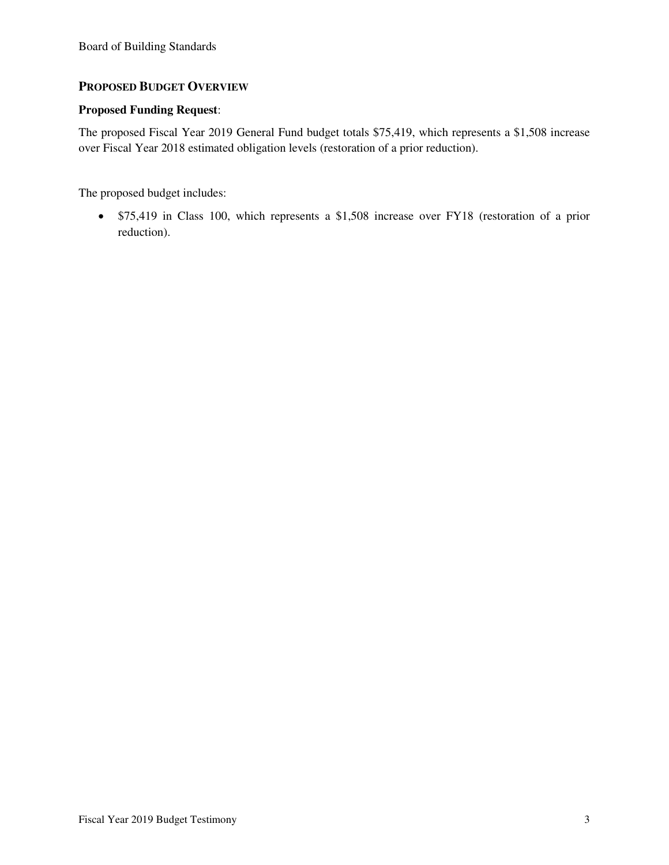### **PROPOSED BUDGET OVERVIEW**

### **Proposed Funding Request**:

The proposed Fiscal Year 2019 General Fund budget totals \$75,419, which represents a \$1,508 increase over Fiscal Year 2018 estimated obligation levels (restoration of a prior reduction).

The proposed budget includes:

• \$75,419 in Class 100, which represents a \$1,508 increase over FY18 (restoration of a prior reduction).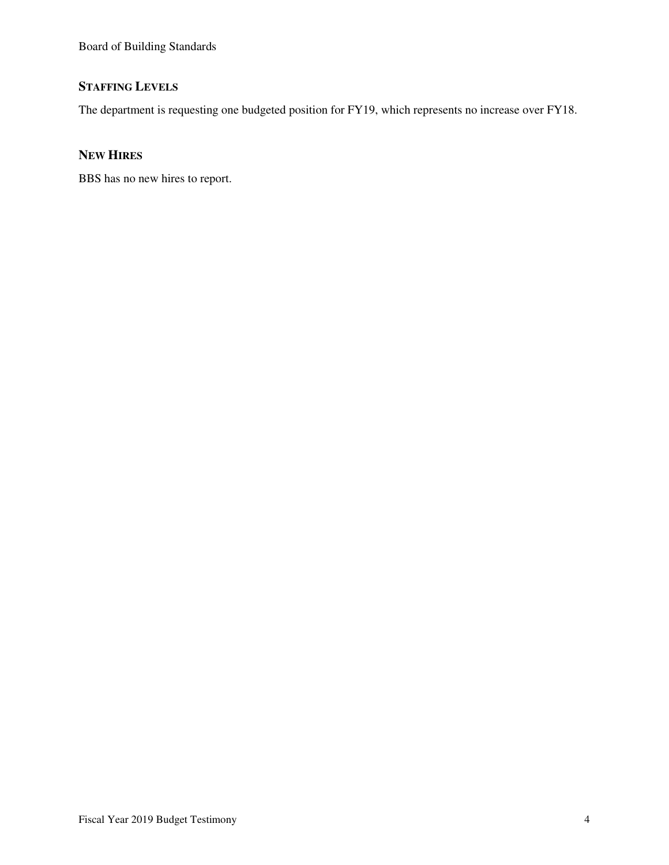# **STAFFING LEVELS**

The department is requesting one budgeted position for FY19, which represents no increase over FY18.

## **NEW HIRES**

BBS has no new hires to report.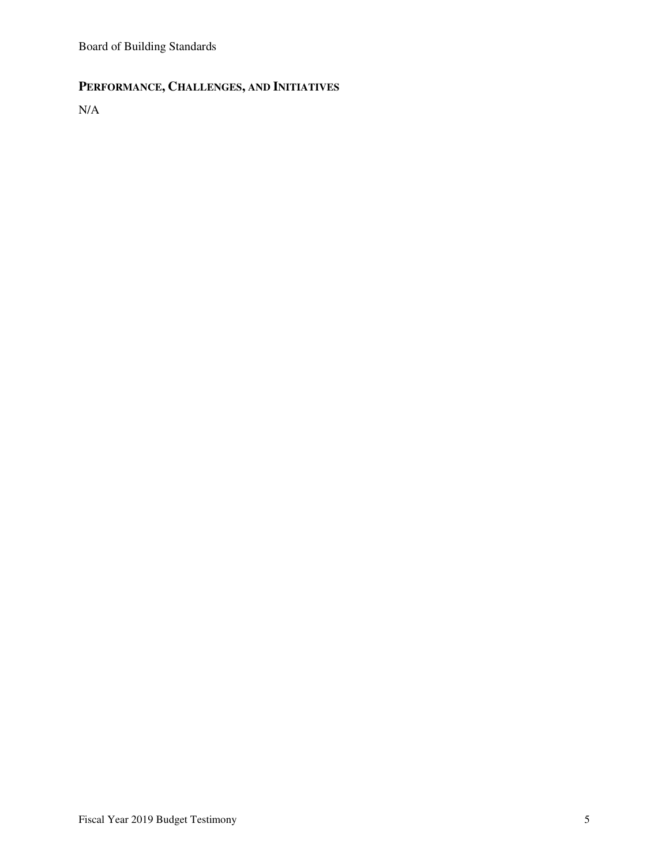# **PERFORMANCE, CHALLENGES, AND INITIATIVES**

N/A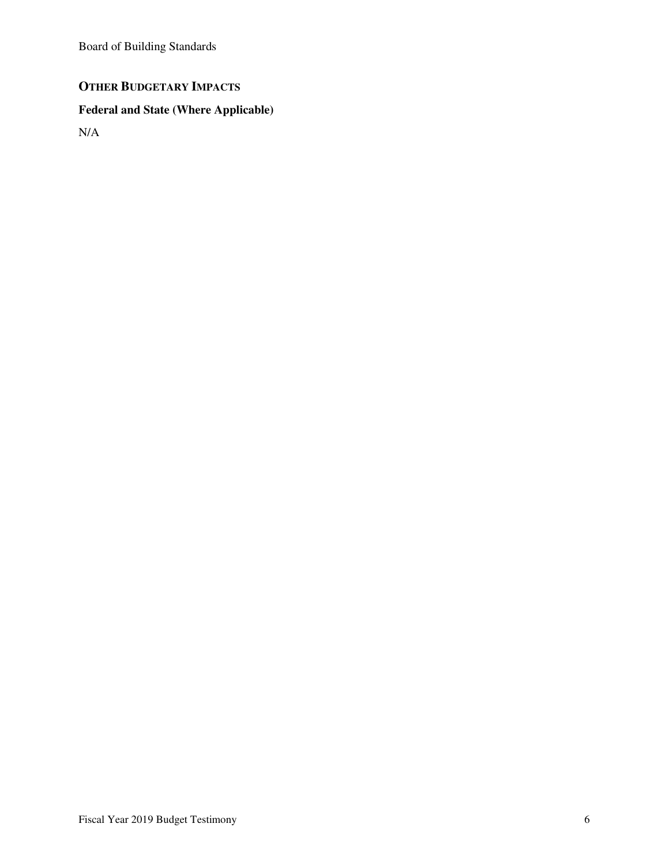# **OTHER BUDGETARY IMPACTS**

# **Federal and State (Where Applicable)**

N/A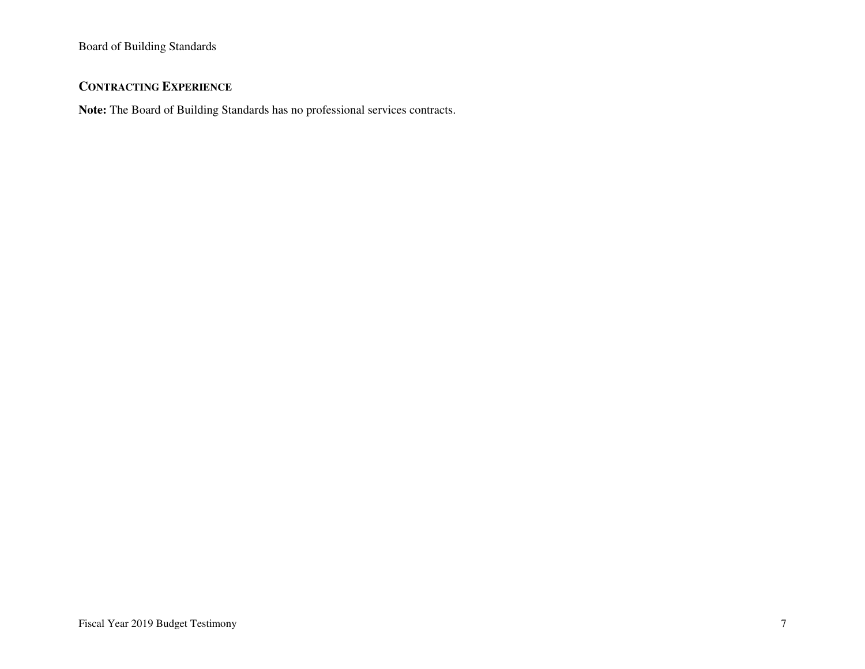## **CONTRACTING EXPERIENCE**

**Note:** The Board of Building Standards has no professional services contracts.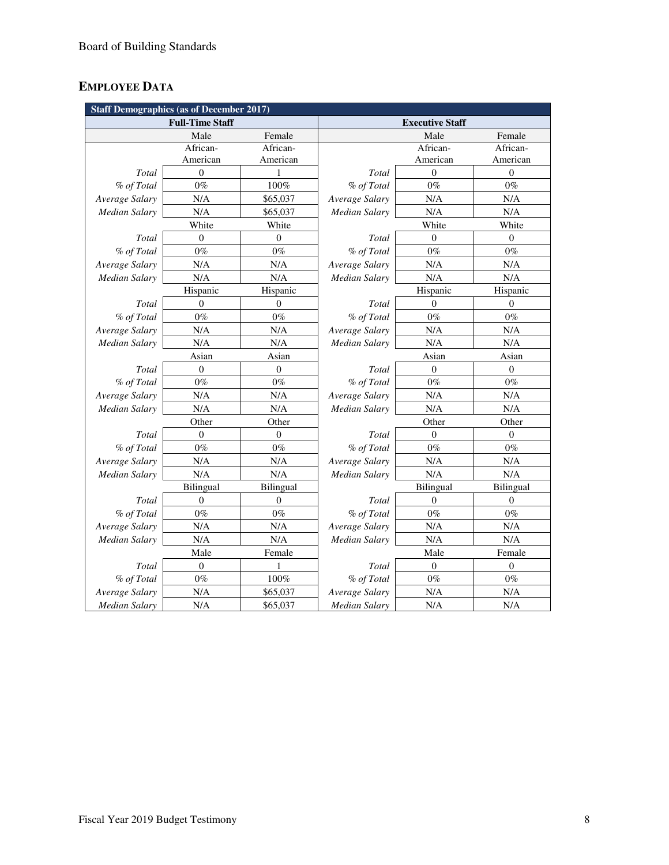# **EMPLOYEE DATA**

| <b>Staff Demographics (as of December 2017)</b> |                        |                  |                        |                  |                  |  |
|-------------------------------------------------|------------------------|------------------|------------------------|------------------|------------------|--|
|                                                 | <b>Full-Time Staff</b> |                  | <b>Executive Staff</b> |                  |                  |  |
|                                                 | Male                   | Female           |                        | Male             | Female           |  |
|                                                 | African-               | African-         |                        | African-         | African-         |  |
|                                                 | American               | American         |                        | American         | American         |  |
| Total                                           | $\mathbf{0}$           | 1                | Total                  | $\mathbf{0}$     | $\overline{0}$   |  |
| % of Total                                      | $0\%$                  | 100%             | % of Total             | $0\%$            | $0\%$            |  |
| Average Salary                                  | N/A                    | \$65,037         | Average Salary         | N/A              | N/A              |  |
| Median Salary                                   | N/A                    | \$65,037         | Median Salary          | N/A              | N/A              |  |
|                                                 | White                  | White            | White                  |                  | White            |  |
| Total                                           | $\boldsymbol{0}$       | $\overline{0}$   | Total                  | $\overline{0}$   | $\mathbf{0}$     |  |
| % of Total                                      | $0\%$                  | $0\%$            | % of Total             | $0\%$            | $0\%$            |  |
| Average Salary                                  | N/A                    | N/A              | Average Salary         | N/A              | N/A              |  |
| <b>Median Salary</b>                            | N/A                    | N/A              | Median Salary          | N/A              | N/A              |  |
|                                                 | Hispanic               | Hispanic         |                        | Hispanic         | Hispanic         |  |
| Total                                           | $\overline{0}$         | $\Omega$         | Total                  | $\Omega$         | $\Omega$         |  |
| % of Total                                      | $0\%$                  | $0\%$            | % of Total             | $0\%$            | $0\%$            |  |
| Average Salary                                  | N/A                    | N/A              | Average Salary         | N/A              | N/A              |  |
| Median Salary                                   | N/A                    | N/A              | Median Salary          | N/A              | N/A              |  |
|                                                 | Asian                  | Asian            |                        | Asian            | Asian            |  |
| Total                                           | $\overline{0}$         | $\boldsymbol{0}$ | Total                  | $\mathbf{0}$     | $\boldsymbol{0}$ |  |
| % of Total                                      | $0\%$                  | $0\%$            | % of Total             | $0\%$            | $0\%$            |  |
| Average Salary                                  | N/A                    | N/A              | Average Salary         | N/A              | N/A              |  |
| Median Salary                                   | N/A                    | N/A              | Median Salary          | N/A              | N/A              |  |
|                                                 | Other                  | Other            | Other                  |                  | Other            |  |
| Total                                           | $\boldsymbol{0}$       | $\boldsymbol{0}$ | Total                  | $\mathbf{0}$     | $\boldsymbol{0}$ |  |
| % of Total                                      | $0\%$                  | $0\%$            | % of Total             | $0\%$            | $0\%$            |  |
| Average Salary                                  | N/A                    | N/A              | Average Salary         | N/A              | N/A              |  |
| Median Salary                                   | N/A                    | N/A              | Median Salary          | N/A              | N/A              |  |
|                                                 | Bilingual              | Bilingual        |                        | Bilingual        | Bilingual        |  |
| Total                                           | $\theta$               | $\theta$         | Total                  | $\Omega$         | $\theta$         |  |
| % of Total                                      | $0\%$                  | $0\%$            | % of Total             | $0\%$            | $0\%$            |  |
| Average Salary                                  | N/A                    | N/A              | Average Salary         | N/A              | N/A              |  |
| Median Salary                                   | N/A                    | N/A              | Median Salary          | N/A              | N/A              |  |
|                                                 | Male                   | Female           |                        | Male             | Female           |  |
| Total                                           | $\boldsymbol{0}$       | 1                | Total                  | $\boldsymbol{0}$ | $\boldsymbol{0}$ |  |
| % of Total                                      | $0\%$                  | 100%             | % of Total             | $0\%$            | $0\%$            |  |
| Average Salary                                  | N/A                    | \$65,037         | Average Salary         | N/A              | N/A              |  |
| <b>Median Salary</b>                            | N/A                    | \$65,037         | <b>Median Salary</b>   | N/A              | N/A              |  |